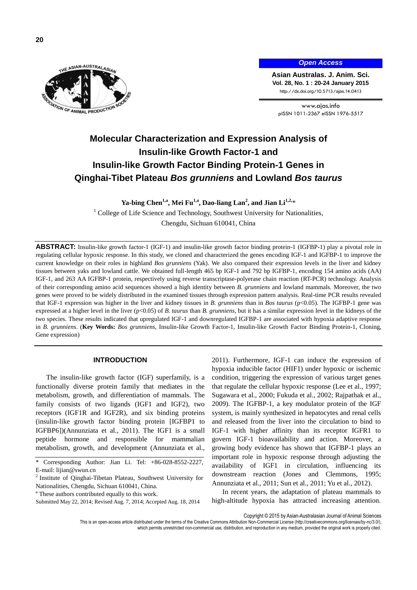**20**



## *Open Access*

**Asian Australas. J. Anim. Sci. Vol. 28, No. 1 : 20-24 January 2015** http://dx.doi.org/10.5713/ajas.14.0413

www.ajas.info pISSN 1011-2367 eISSN 1976-5517

# **Molecular Characterization and Expression Analysis of Insulin-like Growth Factor-1 and Insulin-like Growth Factor Binding Protein-1 Genes in Qinghai-Tibet Plateau** *Bos grunniens* **and Lowland** *Bos taurus*

**Ya-bing Chen1,a , Mei Fu1,a , Dao-liang Lan<sup>2</sup> , and Jian Li1,2,**\*

<sup>1</sup> College of Life Science and Technology, Southwest University for Nationalities,

Chengdu, Sichuan 610041, China

**ABSTRACT:** Insulin-like growth factor-1 (IGF-1) and insulin-like growth factor binding protein-1 (IGFBP-1) play a pivotal role in regulating cellular hypoxic response. In this study, we cloned and characterized the genes encoding IGF-1 and IGFBP-1 to improve the current knowledge on their roles in highland *Bos grunniens* (Yak). We also compared their expression levels in the liver and kidney tissues between yaks and lowland cattle. We obtained full-length 465 bp IGF-1 and 792 bp IGFBP-1, encoding 154 amino acids (AA) IGF-1, and 263 AA IGFBP-1 protein, respectively using reverse transcriptase-polyerase chain reaction (RT-PCR) technology. Analysis of their corresponding amino acid sequences showed a high identity between *B. grunniens* and lowland mammals. Moreover, the two genes were proved to be widely distributed in the examined tissues through expression pattern analysis. Real-time PCR results revealed that IGF-1 expression was higher in the liver and kidney tissues in *B. grunniens* than in *Bos taurus* (p<0.05). The IGFBP-1 gene was expressed at a higher level in the liver (p<0.05) of *B. taurus* than *B. grunniens*, but it has a similar expression level in the kidneys of the two species. These results indicated that upregulated IGF-1 and downregulated IGFBP-1 are associated with hypoxia adaptive response in *B. grunniens*. (**Key Words:** *Bos grunniens*, Insulin-like Growth Factor-1, Insulin-like Growth Factor Binding Protein-1, Cloning, Gene expression)

#### **INTRODUCTION**

The insulin-like growth factor (IGF) superfamily, is a functionally diverse protein family that mediates in the metabolism, growth, and differentiation of mammals. The family consists of two ligands (IGF1 and IGF2), two receptors (IGF1R and IGF2R), and six binding proteins (insulin-like growth factor binding protein [IGFBP1 to IGFBP6])(Annunziata et al., 2011). The IGF1 is a small peptide hormone and responsible for mammalian metabolism, growth, and development (Annunziata et al.,

2011). Furthermore, IGF-1 can induce the expression of hypoxia inducible factor (HIF1) under hypoxic or ischemic condition, triggering the expression of various target genes that regulate the cellular hypoxic response (Lee et al., 1997; Sugawara et al., 2000; Fukuda et al., 2002; Rajpathak et al., 2009). The IGFBP-1, a key modulator protein of the IGF system, is mainly synthesized in hepatocytes and renal cells and released from the liver into the circulation to bind to IGF-1 with higher affinity than its receptor IGFR1 to govern IGF-1 bioavailability and action. Moreover, a growing body evidence has shown that IGFBP-1 plays an important role in hypoxic response through adjusting the availability of IGF1 in circulation, influencing its downstream reaction (Jones and Clemmons, 1995; Annunziata et al., 2011; Sun et al., 2011; Yu et al., 2012).

In recent years, the adaptation of plateau mammals to high-altitude hypoxia has attracted increasing attention.

Copyright © 2015 by Asian-Australasian Journal of Animal Sciences

This is an open-access article distributed under the terms of the Creative Commons Attribution Non-Commercial License [\(http://creativecommons.org/licenses/by-nc/3.0/\),](http://creativecommons.org/licenses/by-nc/3.0/) which permits unrestricted non-commercial use, distribution, and reproduction in any medium, provided the original work is properly cited

Corresponding Author: Jian Li. Tel: +86-028-8552-2227, E-mail: lijian@swun.cn

 $2$  Institute of Qinghai-Tibetan Plateau, Southwest University for Nationalities, Chengdu, Sichuan 610041, China.

<sup>&</sup>lt;sup>a</sup> These authors contributed equally to this work.

Submitted May 22, 2014; Revised Aug. 7, 2014; Accepted Aug. 18, 2014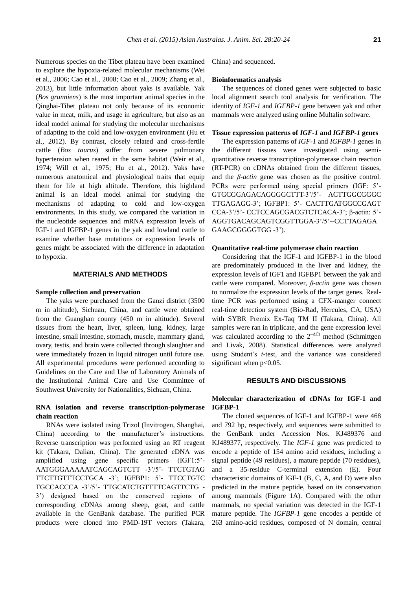Numerous species on the Tibet plateau have been examined to explore the hypoxia-related molecular mechanisms (Wei et al., 2006; Cao et al., 2008; Cao et al., 2009; Zhang et al., 2013), but little information about yaks is available. Yak (*Bos grunniens*) is the most important animal species in the Qinghai-Tibet plateau not only because of its economic value in meat, milk, and usage in agriculture, but also as an ideal model animal for studying the molecular mechanisms of adapting to the cold and low-oxygen environment (Hu et al., 2012). By contrast, closely related and cross-fertile cattle (*Bos taurus*) suffer from severe pulmonary hypertension when reared in the same habitat (Weir et al., 1974; Will et al., 1975; Hu et al., 2012). Yaks have numerous anatomical and physiological traits that equip them for life at high altitude. Therefore, this highland animal is an ideal model animal for studying the mechanisms of adapting to cold and low-oxygen environments. In this study, we compared the variation in the nucleotide sequences and mRNA expression levels of IGF-1 and IGFBP-1 genes in the yak and lowland cattle to examine whether base mutations or expression levels of genes might be associated with the difference in adaptation to hypoxia.

#### **MATERIALS AND METHODS**

#### **Sample collection and preservation**

The yaks were purchased from the Ganzi district (3500 m in altitude), Sichuan, China, and cattle were obtained from the Guanghan county (450 m in altitude). Several tissues from the heart, liver, spleen, lung, kidney, large intestine, small intestine, stomach, muscle, mammary gland, ovary, testis, and brain were collected through slaughter and were immediately frozen in liquid nitrogen until future use. All experimental procedures were performed according to Guidelines on the Care and Use of Laboratory Animals of the Institutional Animal Care and Use Committee of Southwest University for Nationalities, Sichuan, China.

# **RNA isolation and reverse transcription-polymerase chain reaction**

RNAs were isolated using Trizol (Invitrogen, Shanghai, China) according to the manufacturer's instructions. Reverse transcription was performed using an RT reagent kit (Takara, Dalian, China). The generated cDNA was amplified using gene specific primers (IGF1:5'- AATGGGAAAAATCAGCAGTCTT -3'/5'- TTCTGTAG TTCTTGTTTCCTGCA -3'; IGFBP1: 5'- TTCCTGTC TGCCACCCA -3'/5'- TTGCATCTGTTTTCAGTTCTG - 3') designed based on the conserved regions of corresponding cDNAs among sheep, goat, and cattle available in the GenBank database. The purified PCR products were cloned into PMD-19T vectors (Takara,

China) and sequenced.

#### **Bioinformatics analysis**

The sequences of cloned genes were subjected to basic local alignment search tool analysis for verification. The identity of *IGF-1* and *IGFBP-1* gene between yak and other mammals were analyzed using online Multalin software.

#### **Tissue expression patterns of** *IGF-1* **and** *IGFBP-1* **genes**

The expression patterns of *IGF-1* and *IGFBP-1* genes in the different tissues were investigated using semiquantitative reverse transcription-polymerase chain reaction (RT-PCR) on cDNAs obtained from the different tissues, and the *β-actin* gene was chosen as the positive control. PCRs were performed using special primers (IGF: 5'- GTGCGGAGACAGGGGCTTT-3'/5'- ACTTGGCGGGC TTGAGAGG-3'; IGFBP1: 5'- CACTTGATGGCCGAGT CCA-3'/5'- CCTCCAGCGACGTCTCACA-3'; β-actin: 5'- AGGTGACAGCAGTCGGTTGGA-3'/5'--CCTTAGAGA GAAGCGGGGTGG -3').

#### **Quantitative real-time polymerase chain reaction**

Considering that the IGF-1 and IGFBP-1 in the blood are predominately produced in the liver and kidney, the expression levels of IGF1 and IGFBP1 between the yak and cattle were compared. Moreover, *β-actin* gene was chosen to normalize the expression levels of the target genes. Realtime PCR was performed using a CFX-manger connect real-time detection system (Bio-Rad, Hercules, CA, USA) with SYBR Premix Ex-Taq TM II (Takara, China). All samples were ran in triplicate, and the gene expression level was calculated according to the  $2^{-\Delta Ct}$  method (Schmittgen and Livak, 2008). Statistical differences were analyzed using Student's *t*-test, and the variance was considered significant when  $p<0.05$ .

# **RESULTS AND DISCUSSIONS**

# **Molecular characterization of cDNAs for IGF-1 and IGFBP-1**

The cloned sequences of IGF-1 and IGFBP-1 were 468 and 792 bp, respectively, and sequences were submitted to the GenBank under Accession Nos. KJ489376 and KJ489377, respectively. The *IGF-1* gene was predicted to encode a peptide of 154 amino acid residues, including a signal peptide (49 residues), a mature peptide (70 residues), and a 35-residue C-terminal extension (E). Four characteristic domains of IGF-1 (B, C, A, and D) were also predicted in the mature peptide, based on its conservation among mammals (Figure 1A). Compared with the other mammals, no special variation was detected in the IGF-1 mature peptide. The *IGFBP-1* gene encodes a peptide of 263 amino-acid residues, composed of N domain, central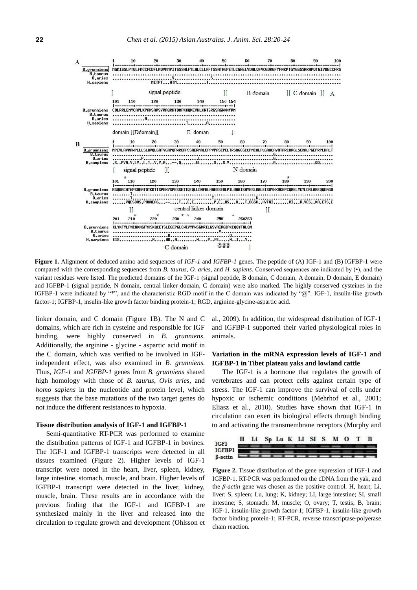

**Figure 1.** Alignment of deduced amino acid sequences of *IGF-1* and *IGFBP-1* genes. The peptide of (A) IGF-1 and (B) IGFBP-1 were compared with the corresponding sequences from *B. taurus*, *O. aries*, and *H. sapiens*. Conserved sequences are indicated by (•), and the variant residues were listed. The predicted domains of the IGF-1 (signal peptide, B domain, C domain, A domain, D domain, E domain) and IGFBP-1 (signal peptide, N domain, central linker domain, C domain) were also marked. The highly conserved cysteines in the IGFBP-1 were indicated by "\*", and the characteristic RGD motif in the C domain was indicated by "@". IGF-1, insulin-like growth factor-1; IGFBP-1, insulin-like growth factor binding protein-1; RGD, arginine-glycine-aspartic acid.

linker domain, and C domain (Figure 1B). The N and C domains, which are rich in cysteine and responsible for IGF binding, were highly conserved in *B. [grunniens](app:ds:grunniens)*. Additionally, the arginine - glycine - aspartic acid motif in the C domain, which was verified to be involved in IGFindependent effect, was also examined in *B. [grunniens](app:ds:grunniens)*. Thus, *IGF-1* and *IGFBP-1* genes from *B. [grunniens](app:ds:grunniens)* shared high homology with those of *B. taurus*, *Ovis aries*, and *homo sapiens* in the nucleotide and protein level, which suggests that the base mutations of the two target genes do not induce the different resistances to hypoxia.

## **Tissue distribution analysis of IGF-1 and IGFBP-1**

Semi-quantitative RT-PCR was performed to examine the distribution patterns of IGF-1 and IGFBP-1 in bovines. The IGF-1 and IGFBP-1 transcripts were detected in all tissues examined (Figure 2). Higher levels of IGF-1 transcript were noted in the heart, liver, spleen, kidney, large intestine, stomach, muscle, and brain. Higher levels of IGFBP-1 transcript were detected in the liver, kidney, muscle, brain. These results are in accordance with the previous finding that the IGF-1 and IGFBP-1 are synthesized mainly in the liver and released into the circulation to regulate growth and development (Ohlsson et

al., 2009). In addition, the widespread distribution of IGF-1 and IGFBP-1 supported their varied physiological roles in animals.

# **Variation in the mRNA expression levels of IGF-1 and IGFBP-1 in Tibet plateau yaks and lowland cattle**

The IGF-1 is a hormone that regulates the growth of vertebrates and can protect cells against certain type of stress. The IGF-1 can improve the survival of cells under hypoxic or ischemic conditions (Mehrhof et al., 2001; Eliasz et al., 2010). Studies have shown that IGF-1 in circulation can exert its biological effects through binding to and activating the transmembrane receptors (Murphy and



**Figure 2.** Tissue distribution of the gene expression of IGF-1 and IGFBP-1. RT-PCR was performed on the cDNA from the yak, and the *β-actin* gene was chosen as the positive control. H, heart; Li, liver; S, spleen; Lu, lung; K, kidney; LI, large intestine; SI, small intestine; S, stomach; M, muscle; O, ovary; T, testis; B, brain; IGF-1, insulin-like growth factor-1; IGFBP-1, insulin-like growth factor binding protein-1; RT-PCR, reverse transcriptase-polyerase chain reaction.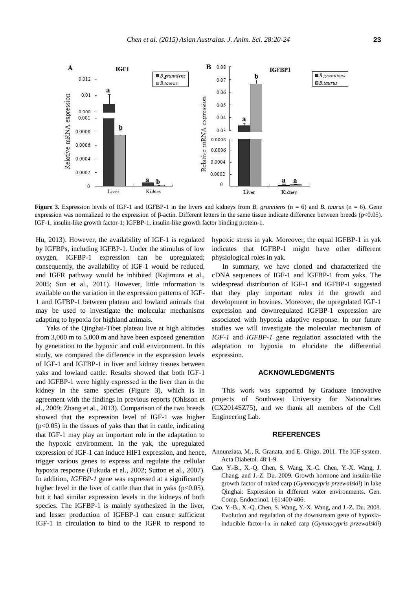

**Figure 3.** Expression levels of IGF-1 and IGFBP-1 in the livers and kidneys from *B. grunniens* (n = 6) and *B. taurus* (n = 6). Gene expression was normalized to the expression of β-actin. Different letters in the same tissue indicate difference between breeds (p<0.05). IGF-1, insulin-like growth factor-1; IGFBP-1, insulin-like growth factor binding protein-1.

Hu, 2013). However, the availability of IGF-1 is regulated by IGFBPs, including IGFBP-1. Under the stimulus of low oxygen, IGFBP-1 expression can be upregulated; consequently, the availability of IGF-1 would be reduced, and IGFR pathway would be inhibited (Kajimura et al., 2005; Sun et al., 2011). However, little information is available on the variation in the expression patterns of IGF-1 and IGFBP-1 between plateau and lowland animals that may be used to investigate the molecular mechanisms adapting to hypoxia for highland animals.

Yaks of the Qinghai-Tibet plateau live at high altitudes from 3,000 m to 5,000 m and have been exposed generation by generation to the hypoxic and cold environment. In this study, we compared the difference in the expression levels of IGF-1 and IGFBP-1 in liver and kidney tissues between yaks and lowland cattle. Results showed that both IGF-1 and IGFBP-1 were highly expressed in the liver than in the kidney in the same species (Figure 3), which is in agreement with the findings in previous reports (Ohlsson et al., 2009; Zhang et al., 2013). Comparison of the two breeds showed that the expression level of IGF-1 was higher  $(p<0.05)$  in the tissues of yaks than that in cattle, indicating that IGF-1 may play an important role in the adaptation to the hypoxic environment. In the yak, the upregulated expression of IGF-1 can induce HIF1 expression, and hence, trigger various genes to express and regulate the cellular hypoxia response (Fukuda et al., 2002; Sutton et al., 2007). In addition, *IGFBP-1* gene was expressed at a significantly higher level in the liver of cattle than that in yaks ( $p<0.05$ ), but it had similar expression levels in the kidneys of both species. The IGFBP-1 is mainly synthesized in the liver, and lesser production of IGFBP-1 can ensure sufficient IGF-1 in circulation to bind to the IGFR to respond to

hypoxic stress in yak. Moreover, the equal IGFBP-1 in yak indicates that IGFBP-1 might have other different physiological roles in yak.

In summary, we have cloned and characterized the cDNA sequences of IGF-1 and IGFBP-1 from yaks. The widespread distribution of IGF-1 and IGFBP-1 suggested that they play important roles in the growth and development in bovines. Moreover, the upregulated IGF-1 expression and downregulated IGFBP-1 expression are associated with hypoxia adaptive response. In our future studies we will investigate the molecular mechanism of *IGF-1* and *IGFBP-1* gene regulation associated with the adaptation to hypoxia to elucidate the differential expression.

## **ACKNOWLEDGMENTS**

This work was supported by Graduate innovative projects of Southwest University for Nationalities (CX2014SZ75), and we thank all members of the Cell Engineering Lab.

#### **REFERENCES**

- Annunziata, M., R. Granata, and E. Ghigo. 2011[. The IGF system.](http://link.springer.com/article/10.1007%2Fs00592-010-0227-z) Acta Diabetol. 48:1-9.
- Cao, Y.-B., X.-Q. Chen, S. Wang, X.-C. Chen, Y.-X. Wang, J. Chang, and J.-Z. Du. 2009. [Growth hormone and insulin-like](http://www.sciencedirect.com/science/article/pii/S0016648009000677)  [growth factor of naked carp \(](http://www.sciencedirect.com/science/article/pii/S0016648009000677)*Gymnocypris przewalskii*) in lake [Qinghai: Expression in different water environments.](http://www.sciencedirect.com/science/article/pii/S0016648009000677) Gen. Comp. Endocrinol. 161:400-406.
- Cao, Y.-B., X.-Q. Chen, S. Wang, Y.-X. Wang, and J.-Z. Du. 2008. [Evolution and regulation of the downstream gene of hypoxia](http://link.springer.com/article/10.1007/s00239-008-9175-4)[inducible factor-1α in naked carp \(](http://link.springer.com/article/10.1007/s00239-008-9175-4)*Gymnocypris przewalskii*)